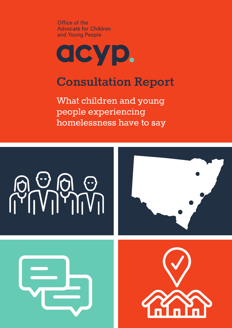Office of the **Advocate for Children** and Young People

# acyp.

# **Consultation Report**

What children and young people experiencing homelessness have to say

# 





.

**.** 

.

.<br>?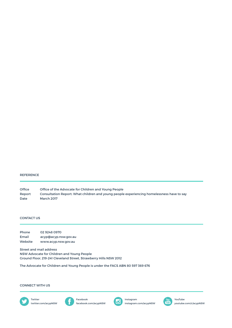### REFERENCE

Office of the Advocate for Children and Young People Consultation Report: What children and young people experiencing homelessness have to say March 2017 Office Report Date

## CONTACT US

| Phone   | 02 9248 0970         |
|---------|----------------------|
| Email   | acyp@acyp.nsw.gov.au |
| Website | www.acyp.nsw.gov.au  |

Street and mail address NSW Advocate for Children and Young People Ground Floor, 219-241 Cleveland Street, Strawberry Hills NSW 2012

The Advocate for Children and Young People is under the FACS ABN 80 597 369 676

## CONNECT WITH US







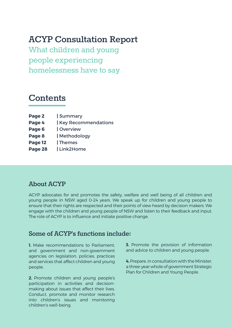# **ACYP Consultation Report**

What children and young people experiencing homelessness have to say

# **Contents**

- **Page 2 |** Summary
- **Page 4 | Key Recommendations**
- **Page 6 |** Overview
- **Page 8 |** Methodology
- **Page 12 |** Themes
- **Page 28 |** Link2Home

# **About ACYP**

ACYP advocates for and promotes the safety, welfare and well being of all children and young people in NSW aged 0-24 years. We speak up for children and young people to ensure that their rights are respected and their points of view heard by decision makers. We engage with the children and young people of NSW and listen to their feedback and input. The role of ACYP is to influence and initiate positive change.

# **Some of ACYP's functions include:**

**1.** Make recommendations to Parliament, and government and non-government agencies on legislation, policies, practices and services that affect children and young people.

**2.** Promote children and young people's participation in activities and decisionmaking about issues that affect their lives. Conduct, promote and monitor research into children's issues and monitoring children's well-being.

**3.** Promote the provision of information and advice to children and young people.

**4.** Prepare, in consultation with the Minister, a three-year whole of government Strategic Plan for Children and Young People.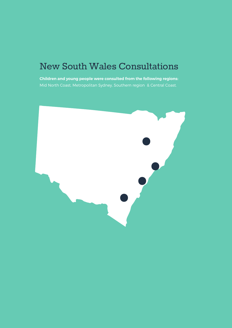# New South Wales Consultations

**Children and young people were consulted from the following regions:**  Mid North Coast, Metropolitan Sydney, Southern region & Central Coast.

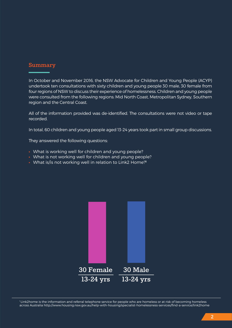# **Summary**

In October and November 2016, the NSW Advocate for Children and Young People (ACYP) undertook ten consultations with sixty children and young people 30 male, 30 female from four regions of NSW to discuss their experience of homelessness. Children and young people were consulted from the following regions: Mid North Coast, Metropolitan Sydney, Southern region and the Central Coast.

All of the information provided was de-identified. The consultations were not video or tape recorded.

In total, 60 children and young people aged 13-24 years took part in small group discussions.

They answered the following questions:

- **•** What is working well for children and young people?
- **•** What is not working well for children and young people?
- **•** What is/is not working well in relation to Link2 Home?**<sup>1</sup>**



<sup>1</sup> Link2home is the information and referral telephone service for people who are homeless or at risk of becoming homeless across Australia http://www.housing.nsw.gov.au/help-with-housing/specialist-homelessness-services/find-a-service/link2home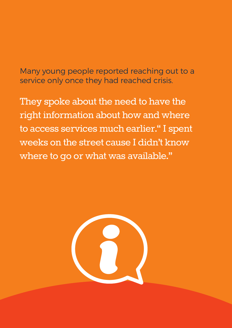# Many young people reported reaching out to a service only once they had reached crisis.

They spoke about the need to have the right information about how and where to access services much earlier." I spent weeks on the street cause I didn't know where to go or what was available."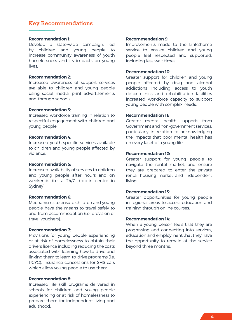# **Key Recommendations**

## **Recommendation 1:**

Develop a state-wide campaign, led by children and young people to increase community awareness of youth homelessness and its impacts on young lives.

# **Recommendation 2:**

Increased awareness of support services available to children and young people using social media, print advertisements and through schools.

# **Recommendation 3:**

Increased workforce training in relation to respectful engagement with children and young people.

## **Recommendation 4:**

Increased youth specific services available to children and young people affected by violence.

# **Recommendation 5:**

Increased availability of services to children and young people after hours and on weekends (i.e. a 24/7 drop-in centre in Sydney).

# **Recommendation 6:**

Mechanisms to ensure children and young people have the means to travel safely to and from accommodation (i.e. provision of travel vouchers).

# **Recommendation 7:**

Provisions for young people experiencing or at risk of homelessness to obtain their drivers licence including reducing the costs associated with learning how to drive and linking them to learn-to-drive programs (i.e. PCYC). Insurance concessions for SHS cars which allow young people to use them.

# **Recommendation 8:**

Increased life skill programs delivered in schools for children and young people experiencing or at risk of homelessness to prepare them for independent living and adulthood.

# **Recommendation 9:**

Improvements made to the Link2home service to ensure children and young people feel respected and supported, including less wait times.

## **Recommendation 10:**

Greater support for children and young people affected by drug and alcohol addictions including access to youth detox clinics and rehabilitation facilities increased workforce capacity to support young people with complex needs.

## **Recommendation 11:**

Greater mental health supports from Government and non-government services, particularly in relation to acknowledging the impacts that poor mental health has on every facet of a young life.

# **Recommendation 12:**

Greater support for young people to navigate the rental market, and ensure they are prepared to enter the private rental housing market and independent living.

## **Recommendation 13:**

Greater opportunities for young people in regional areas to access education and training through online courses.

## **Recommendation 14:**

When a young person feels that they are progressing and connecting into services, education and employment that they have the opportunity to remain at the service beyond three months.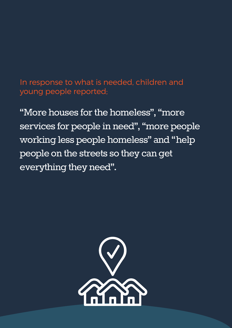# In response to what is needed, children and young people reported;

"More houses for the homeless", "more services for people in need", "more people working less people homeless" and "help people on the streets so they can get everything they need".

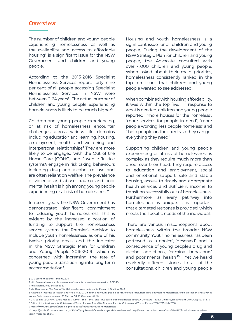# **Overview**

The number of children and young people experiencing homelessness, as well as the availability and access to affordable housing**2** is a significant issue for the NSW Government and children and young people.

According to the 2015-2016 Specialist Homelessness Services report, forty nine per cent of all people accessing Specialist Homelessness Services in NSW were between 0-24 years**<sup>3</sup>** . The actual number of children and young people experiencing homelessness is likely to be much higher**4**.

Children and young people experiencing, or at risk of homelessness encounter challenges across various life domains including education and learning, housing, employment, health and wellbeing and interpersonal relationships**5** They are more likely to be engaged with the Out of the Home Care (OOHC) and Juvenile Justice systems**6**; engage in risk taking behaviours including drug and alcohol misuse and are often reliant on welfare. The prevalence of violence and abuse, trauma and poor mental health is high among young people experiencing or at risk of homelessness**7**.

In recent years, the NSW Government has demonstrated significant commitment to reducing youth homelessness. This is evident by the increased allocation of funding to support the homelessness service system; the Premier's decision to include youth homelessness as one of his twelve priority areas; and the indicator in the NSW Strategic Plan for Children and Young People 2016-2019 which is concerned with increasing the rate of young people transitioning into long term accommodation**9**.

Housing and youth homelessness is a significant issue for all children and young people. During the development of the NSW Strategic Plan for children and young people, the Advocate consulted with over 4,000 children and young people. When asked about their main priorities, homelessness consistently ranked in the top ten issues that children and young people wanted to see addressed.

When combined with housing affordability, it was within the top five. In response to what is needed, children and young people reported "more houses for the homeless", "more services for people in need", "more people working, less people homeless" and " help people on the streets so they can get everything they need".

Supporting children and young people experiencing or at risk of homelessness is complex as they require much more than a roof over their head. They require access to education and employment, social and emotional support, safe and stable housing, access to timely and appropriate health services and sufficient income to transition successfully out of homelessness. Furthermore, as every pathway into homelessness is unique, it is important that a targeted response is provided, which meets the specific needs of the individual.

There are various misconceptions about homelessness within the broader NSW community. Youth homelessness has been portrayed as 'a choice', 'deserved', and 'a consequence of young people's drug and alcohol addictions', 'criminal behaviours' and 'poor mental health'**10**. Yet we heard markedly different stories. In all of the consultations, children and young people

4 Australian Bureau Statistics 2011

9 https://www.nsw.gov.au/premiers-priorities-list/reducing-youth-homelessness

<sup>2</sup> SGS Economics and Planning, 2016

<sup>3</sup> http://www.aihw.gov.au/homelessness/specialist-homelessness-services-2015-16/

<sup>5</sup> MacKenzie et al, The Cost of Youth Homelessness in Australia, Research Briefing, 2016

<sup>6</sup> Australian Institute of Health and Welfare 2012. Children and young people at risk of social exclusion: links between homelessness, child protection and juvenile justice. Data linkage series no. 13 Cat. no. CSI 13. Canberra: AIHW

<sup>7</sup> J P. Edidin, Z Ganim, S.J Hunter, N.S Karnik , The Mental and Physical Health of Homeless Youth: A Literature Review, Child Psychiatry Hum Dev (2012) 43:354–375 8 Office of the Adviocate for Children and Young People, The NSW Strategic Plan for Children and Young People 2016-2019, July 2016

<sup>10</sup> https://youthoffthestreets.com.au/2016/04/11/myths-and-facts-about-youth-homelessness/; http://www.thecourier.com.au/story/2201787/break-down-homelessyouth-misconceptions/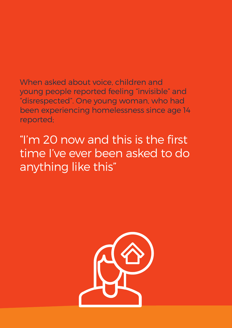When asked about voice, children and young people reported feeling "invisible" and "disrespected". One young woman, who had been experiencing homelessness since age 14 reported;

"I'm 20 now and this is the first time I've ever been asked to do anything like this"

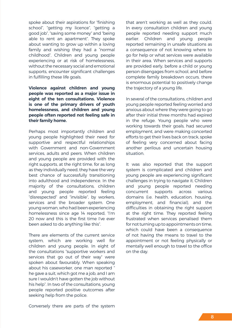spoke about their aspirations for "finishing school", "getting my licence", "getting a good job", "saving some money" and "being able to rent an apartment". They spoke about wanting to grow up within a loving family and wishing they had a "normal childhood". Children and young people experiencing or at risk of homelessness, without the necessary social and emotional supports, encounter significant challenges in fulfilling these life goals.

**Violence against children and young people was reported as a major issue in eight of the ten consultations. Violence is one of the primary drivers of youth homelessness, and children and young people often reported not feeling safe in their family home.**

Perhaps most importantly children and young people highlighted their need for supportive and respectful relationships with Government and non-Government services, adults and peers. When children and young people are provided with the right supports, at the right time, for as long as they individually need, they have the very best chance of successfully transitioning into adulthood and independence. In the majority of the consultations, children and young people reported feeling "disrespected" and "invisible", by workers, services and the broader system. One young woman, who had been experiencing homelessness since age 14 reported, "I'm 20 now and this is the first time I've ever been asked to do anything like this".

There are elements of the current service system, which are working well for children and young people. In eight of the consultations "supportive workers and services that go out of their way" were spoken about favourably. When speaking about his caseworker, one man reported " he gave a suit, which got me a job, and I am sure I wouldn't have gotten the job without his help". In two of the consultations, young people reported positive outcomes after seeking help from the police.

that aren't working as well as they could. In every consultation children and young people reported needing support much earlier. Children and young people reported remaining in unsafe situations as a consequence of not knowing where to go for help or what services were available in their area. When services and supports are provided early, before a child or young person disengages from school, and before complete family breakdown occurs, there is enormous potential to positively change the trajectory of a young life.

In several of the consultations, children and young people reported feeling worried and anxious about where they were going to go after their initial three months had expired in the refuge. Young people who were working towards their goals, had secured employment, and were making concerted efforts to get their lives back on track, spoke of feeling very concerned about facing another perilous and uncertain housing situation.

It was also reported that the support system is complicated and children and young people are experiencing significant challenges in trying to navigate it. Children and young people reported needing concurrent supports across various domains (i.e. health, education, housing, employment, and financial), and the difficulties in obtaining the right support at the right time. They reported feeling frustrated when services penalised them for not turning up to appointments on time, which could have been a consequence of not having the means to travel to the appointment or not feeling physically or mentally well enough to travel to the office on the day.

Conversely there are parts of the system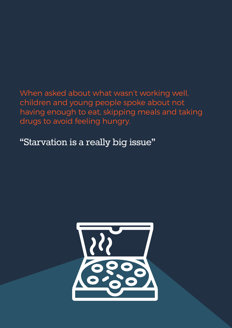When asked about what wasn't working well, children and young people spoke about not having enough to eat, skipping meals and taking drugs to avoid feeling hungry.

"Starvation is a really big issue"

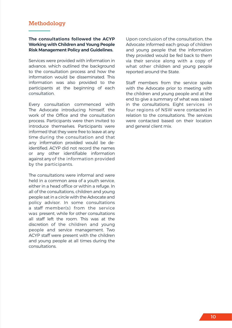# **Methodology**

# **The consultations followed the ACYP Working with Children and Young People Risk Management Policy and Guidelines.**

Services were provided with information in advance, which outlined the background to the consultation process and how the information would be disseminated. This information was also provided to the participants at the beginning of each consultation.

Every consultation commenced with The Advocate introducing himself, the work of the Office and the consultation process. Participants were then invited to introduce themselves. Participants were informed that they were free to leave at any time during the consultation and that any information provided would be deidentified. ACYP did not record the names or any other identifiable information against any of the information provided by the participants.

The consultations were informal and were held in a common area of a youth service, either in a head office or within a refuge. In all of the consultations, children and young people sat in a circle with the Advocate and policy advisor. In some consultations a staff member(s) from the service was present, while for other consultations all staff left the room. This was at the discretion of the children and young people and service management. Two ACYP staff were present with the children and young people at all times during the consultations.

Upon conclusion of the consultation, the Advocate informed each group of children and young people that the information they provided would be fed back to them via their service along with a copy of what other children and young people reported around the State.

Staff members from the service spoke with the Advocate prior to meeting with the children and young people and at the end to give a summary of what was raised in the consultations. Eight services in four regions of NSW were contacted in relation to the consultations. The services were contacted based on their location and general client mix.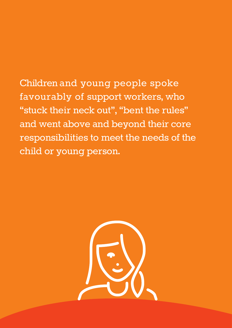Children and young people spoke favourably of support workers, who "stuck their neck out", "bent the rules" and went above and beyond their core responsibilities to meet the needs of the child or young person.

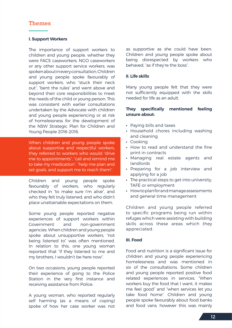# **Themes**

# **I. Support Workers**

The importance of support workers to children and young people, whether they were FACS caseworkers, NGO caseworkers or any other support service workers, was spoken about in every consultation. Children and young people spoke favourably of support workers, who "stuck their neck out", "bent the rules" and went above and beyond their core responsibilities to meet the needs of the child or young person. This was consistent with earlier consultations undertaken by the Advocate with children and young people experiencing or at risk of homelessness for the development of the NSW Strategic Plan for Children and Young People 2016-2016.

When children and young people spoke about supportive and respectful workers, they referred to workers who would "drive me to appointments", "call and remind me to take my medication", "help me plan and set goals, and support me to reach them".

Children and young people spoke favourably of workers, who regularly checked in "to make sure I'm alive", and who they felt truly listened, and who didn't place unattainable expectations on them.

Some young people reported negative experiences of support workers within Government and non-government agencies. When children and young people spoke about unsupportive workers, "not being listened to" was often mentioned. In relation to this, one young woman reported that "if they listened to me and my brothers, I wouldn't be here now".

On two occasions, young people reported their experience of going to the Police Station in the very first instance and receiving assistance from Police.

A young woman, who reported regularly self harming (as a means of coping) spoke of how her case worker was not

as supportive as she could have been. Children and young people spoke about being disrespected by workers who behaved, "as if they're the boss".

# **II. Life skills**

Many young people felt that they were not sufficiently equipped with the skills needed for life as an adult.

# **They specifically mentioned feeling unsure about:**

- **•** Paying bills and taxes
- **•** Household chores including washing and cleaning
- **•** Cooking
- **•** How to read and understand the fine print in contracts
- **•** Managing real estate agents and landlords
- **•** Preparing for a job interview and applying for a job
- **•** The practical steps to get into university, TAFE or employment
- **•** How to plan for and manage assessments and general time management

Children and young people referred to specific programs being run within refuges which were assisting with building skills across these areas which they appreciated.

# **III. Food**

Food and nutrition is a significant issue for children and young people experiencing homelessness and was mentioned in six of the consultations. Some children and young people reported positive food related experiences in services, "When workers buy the food that I want, it makes me feel good" and "when services let you take food home". Children and young people spoke favourably about food banks and food vans; however this was mainly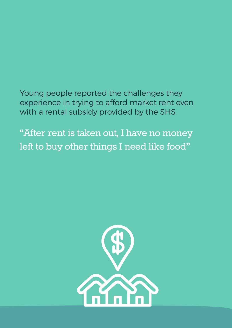Young people reported the challenges they experience in trying to afford market rent even with a rental subsidy provided by the SHS

"After rent is taken out, I have no money left to buy other things I need like food"

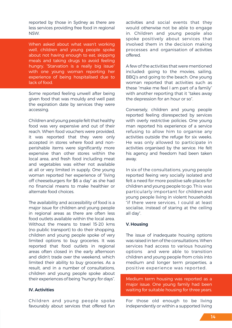reported by those in Sydney as there are less services providing free food in regional NSW.

When asked about what wasn't working well, children and young people spoke about not having enough to eat, skipping meals and taking drugs to avoid feeling hungry. "Starvation is a really big issue" with one young woman reporting her experience of being hospitalised due to lack of food.

Some reported feeling unwell after being given food that was mouldy and well past the expiration date by services they were accessing.

Children and young people felt that healthy food was very expensive and out of their reach. When food vouchers were provided, it was reported that they were only accepted in stores where food and nonperishable items were significantly more expensive than other stores within the local area, and fresh food including meat and vegetables was either not available at all or very limited in supply. One young woman reported her experience of "living off cheeseburgers for \$6 a day" as she had no financial means to make healthier or alternate food choices.

The availability and accessibility of food is a major issue for children and young people in regional areas as there are often less food outlets available within the local area. Without the means to travel 15-20 kms (no public transport) to do their shopping, children and young people spoke of very limited options to buy groceries. It was reported that food outlets in regional areas often closed in the early afternoon and didn't trade over the weekend, which limited their ability to buy groceries. As a result, and in a number of consultations, children and young people spoke about their experiences of being "hungry for days".

# **IV. Activities**

Children and young people spoke favourably about services that offered fun activities and social events that they would otherwise not be able to engage in. Children and young people also spoke positively about services that involved them in the decision making processes and organisation of activities offered.

A few of the activities that were mentioned included: going to the movies, sailing, BBQ's and going to the beach. One young woman reported that activities such as these "make me feel I am part of a family" with another reporting that it "takes away the depression for an hour or so".

Conversely, children and young people reported feeling disrespected by services with overly restrictive policies. One young man reported his experience of a service refusing to allow him to organise any activities outside the refuge for six weeks. He was only allowed to participate in activities organised by the service. He felt his agency and freedom had been taken away.

In six of the consultations, young people reported feeing very socially isolated and felt a need for more positive safe places for children and young people to go. This was particularly important for children and young people living in violent households "if there were services, I could at least socialise, instead of staring at the ceiling all day".

# **V. Housing**

The issue of inadequate housing options was raised in ten of the consultations. When services had access to various housing options and were able to transition children and young people from crisis into medium and longer term properties, a positive experience was reported.

Medium term housing was reported as a major issue. One young family had been waiting for suitable housing for three years.

For those old enough to be living independently or within a supported living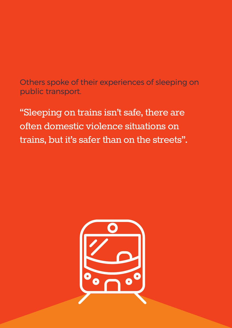Others spoke of their experiences of sleeping on public transport.

"Sleeping on trains isn't safe, there are often domestic violence situations on trains, but it's safer than on the streets".

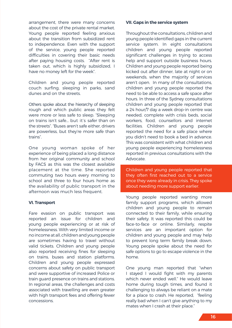arrangement, there were many concerns about the cost of the private rental market. Young people reported feeling anxious about the transition from subsidized rent to independence. Even with the support of the service, young people reported difficulties in covering their basic needs after paying housing costs. "After rent is taken out, which is highly subsidized, I have no money left for the week".

Children and young people reported couch surfing, sleeping in parks, sand dunes and on the streets.

Others spoke about the hierarchy of sleeping rough and which public areas they felt were more or less safe to sleep. "Sleeping on trains isn't safe... but it's safer than on the streets". "Buses aren't safe either, drivers are powerless, but they're more safe than trains".

One young woman spoke of her experience of being placed a long distance from her original community and school by FACS as this was the closest available placement at the time. She reported commuting two hours every morning to school and three to four hours home as the availability of public transport in the afternoon was much less frequent.

# **VI. Transport**

Fare evasion on public transport was reported an issue for children and young people experiencing or at risk of homelessness. With very limited income or no income at all, children and young people are sometimes having to travel without valid tickets. Children and young people also reported receiving fines for sleeping on trains, buses and station platforms. Children and young people expressed concerns about safety on public transport and were supportive of increased Police or train guard presence on trains and stations. In regional areas, the challenges and costs associated with travelling are even greater with high transport fees and offering fewer concessions.

# **VII. Gaps in the service system**

Throughout the consultations, children and young people identified gaps in the current service system. In eight consultations children and young people reported significant challenges in trying to access help and support outside business hours. Children and young people reported being kicked out after dinner, late at night or on weekends, when the majority of services aren't open. In many of the consultations, children and young people reported the need to be able to access a safe space after hours. In three of the Sydney consultations children and young people reported that a 24 hour/7 day a week drop-in centre was needed, complete with crisis beds, social workers, food, counsellors and internet facilities. Children and young people reported the need for a safe place where you didn't need to book a bed in advance. This was consistent with what children and young people experiencing homelessness reported in previous consultations with the Advocate.

Children and young people reported that they often first reached out to a service once they were already in crisis. They spoke about needing more support earlier.

Young people reported wanting more family support programs, which allowed children and young people to remain connected to their family, while ensuring their safety. It was reported this could be face-to-face or online. Similarly, respite services are an important option for children and young people and may help to prevent long term family break down. Young people spoke about the need for safe options to go to escape violence in the home.

One young man reported that "when I stayed I would fight with my parents which never ended well." He would leave home during tough times, and found it challenging to always be reliant on a mate for a place to crash. He reported, "feeling really bad when I can't give anything to my mates when I crash at their place."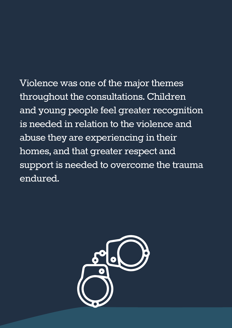Violence was one of the major themes throughout the consultations. Children and young people feel greater recognition is needed in relation to the violence and abuse they are experiencing in their homes, and that greater respect and support is needed to overcome the trauma endured.

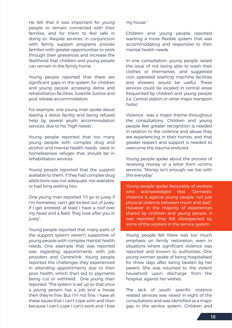He felt that it was important for young people to remain connected with their families, and for them to feel safe in doing so. Respite services, in conjunction with family support programs provide families with greater opportunities to work through their grievances and increase the likelihood that children and young people can remain in the family home.

Young people reported that there are significant gaps in the system for children and young people accessing detox and rehabilitation facilities, Juvenile Justice and post release accommodation.

For example, one young man spoke about leaving a detox facility and being refused help by several youth accommodation services, due to his "high needs".

Young people reported that too many young people with complex drug and alcohol and mental health needs were in homelessness refuges that should be in rehabilitation services.

Young people reported that the support available to them, if they had complex drug addictions was not adequate, nor available, or had long waiting lists.

One young man reported "I'll go to juvey if I'm homeless, can't get kicked out of juvey. If I get arrested, at least I have a roof over my head and a feed. They look after you in juvey".

Young people reported that many parts of the support system weren't supportive of young people with complex mental health needs. One example that was reported was regarding appointments with job providers and Centrelink. Young people reported the challenges they experienced in attending appointments due to their poor health, which then led to payments being cut or withheld. One young man reported, "The system is set up so that once a young person has a job and a house then they're fine. But I'm not fine, I have all these issues that I can't cope with and then because I can't cope I can't work and I lose

my house."

Children and young people reported wanting a more flexible system that was accommodating and responsive to their mental health needs.

In one consultation, young people raised the issue of not being able to wash their clothes or themselves, and suggested coin operated washing machine facilities and showers would be useful. These services could be located in central areas frequented by children and young people (i.e. Central station or other major transport hubs).

Violence was a major theme throughout the consultations. Children and young people feel greater recognition is needed in relation to the violence and abuse they are experiencing in their homes, and that greater respect and support is needed to overcome the trauma endured.

Young people spoke about the process of receiving money or a letter from victims services, "Money isn't enough; we live with this everyday".

Young people spoke favourably of workers who acknowledged that "Domestic Violence is against young people, not just physical violence between mum and dad". However in the majority of experiences shared by children and young people, it was reported they felt disrespected by some of the workers in the service system.

Young people felt there was too much emphasis on family restoration, even in situations where significant violence was reported and known to authorities. One young woman spoke of being hospitalised for three days after being beaten by her parent. She was returned to the violent household upon discharge from the hospital, against her wishes.

The lack of youth specific violence related services was raised in eight of the consultations and was identified as a major gap in the service system. Children and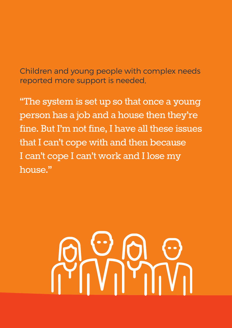Children and young people with complex needs reported more support is needed,

"The system is set up so that once a young person has a job and a house then they're fine. But I'm not fine, I have all these issues that I can't cope with and then because I can't cope I can't work and I lose my house."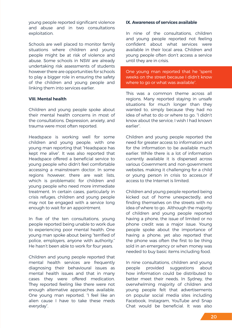young people reported significant violence and abuse and in two consultations exploitation.

Schools are well placed to monitor family situations where children and young people might be at risk of violence and abuse. Some schools in NSW are already undertaking risk assessments of students however there are opportunities for schools to play a bigger role in ensuring the safety of the children and young people and linking them into services earlier.

# **VIII. Mental health**

Children and young people spoke about their mental health concerns in most of the consultations. Depression, anxiety, and trauma were most often reported.

Headspace is working well for some children and young people, with one young man reporting that "Headspace has kept me alive". It was also reported that Headspace offered a beneficial service to young people who didn't feel comfortable accessing a mainstream doctor. In some regions however, there are wait lists, which is problematic for children and young people who need more immediate treatment. In certain cases, particularly in crisis refuges, children and young people may not be engaged with a service long enough to wait for an appointment.

In five of the ten consultations, young people reported being unable to work due to experiencing poor mental health. One young man spoke about being "terrified of police, employers, anyone with authority." He hasn't been able to work for four years.

Children and young people reported that mental health services are frequently diagnosing their behavioural issues as mental health issues and that in many cases they were offered medication. They reported feeling like there were not enough alternative approaches available. One young man reported, "I feel like an alien cause I have to take these meds everyday".

# **IX. Awareness of services available**

In nine of the consultations, children and young people reported not feeling confident about what services were available in their local area. Children and young people often don't access a service until they are in crisis.

One young man reported that he "spent weeks on the street because I didn't know where to go or what was available".

This was a common theme across all regions. Many reported staying in unsafe situations for much longer than they wanted to, simply because they had no idea of what to do or where to go. "I didn't know about the service, I wish I had known earlier".

Children and young people reported the need for greater access to information and for the information to be available much earlier. While there is a lot of information currently available it is dispersed across various Government and non-government websites, making it challenging for a child or young person in crisis to access,or if access to the Internet is limited.

Children and young people reported being kicked out of home unexpectedly, and finding themselves on the streets with no idea of where to go. Although the majority of children and young people reported having a phone, the issue of limited or no phone credit was a major issue. Young people spoke about the importance of having a phone, yet also reported that the phone was often the first to be thing sold in an emergency or when money was needed to buy basic items including food.

In nine consultations, children and young people provided suggestions about how information could be distributed to better meet their needs. In Sydney, the overwhelming majority of children and young people felt that advertisements on popular social media sites including Facebook, Instagram, YouTube and Snap Chat would be beneficial. It was also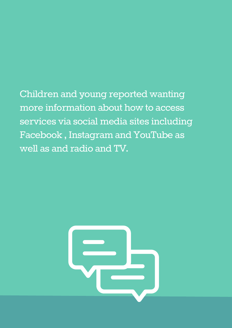Children and young reported wanting more information about how to access services via social media sites including Facebook , Instagram and YouTube as well as and radio and TV.

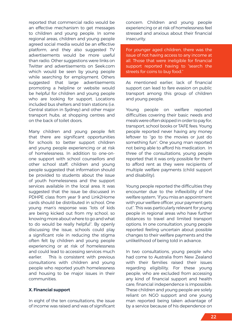reported that commercial radio would be an effective mechanism to get messages to children and young people. In some regional areas, children and young people agreed social media would be an effective platform, and they also suggested TV advertisements would be more useful than radio. Other suggestions were links on Twitter and advertisements on Seek.com which would be seen by young people while searching for employment. Others suggested that large advertisements promoting a helpline or website would be helpful for children and young people who are looking for support. Locations included bus shelters and train stations (i.e. Central station in Sydney) and other major transport hubs, at shopping centres and on the back of toilet doors.

Many children and young people felt that there are significant opportunities for schools to better support children and young people experiencing or at risk of homelessness. In addition to one-onone support with school counsellors and other school staff, children and young people suggested that information should be provided to students about the issue of youth homelessness and the support services available in the local area. It was suggested that the issue be discussed in PDHPE class from year 9 and Link2Home cards should be distributed in school. One young man's response was "lots of kids are being kicked out from my school, so knowing more about where to go and what to do would be really helpful". By openly discussing the issue, schools could play a significant role in reducing the stigma often felt by children and young people experiencing or at risk of homelessness and could lead to accessing services much earlier. This is consistent with previous consultations with children and young people who reported youth homelessness and housing to be major issues in their communities.

# **X. Financial support**

In eight of the ten consultations, the issue of income was raised and was of significant concern. Children and young people experiencing or at risk of homelessness feel stressed and anxious about their financial insecurity.

For younger aged children, there was the issue of not having access to any income at all. Those that were ineligible for financial support reported having to "search the streets for coins to buy food."

As mentioned earlier, lack of financial support can lead to fare evasion on public transport among this group of children and young people.

Young people on welfare reported difficulties covering their basic needs and meals were often skipped in order to pay for, transport, school books or TAFE fees. Young people reported never having any money leftover to "go to the movies or just do something fun". One young man reported not being able to afford his medication. In three of the consultations, young people reported that it was only possible for them to afford rent as they were recipients of multiple welfare payments (child support and disability).

Young people reported the difficulties they encounter due to the inflexibility of the welfare system, "if you miss an appointment with your welfare officer, your payment gets cut". This was particularly relevant for young people in regional areas who have further distances to travel and limited transport options. In one consultation, young people reported feeling uncertain about possible changes to their welfare payments and the unlikelihood of being told in advance.

In two consultations, young people who had come to Australia from New Zealand with their families raised their issues regarding eligibility. For these young people, who are excluded from accessing any kind of financial support and health care, financial independence is impossible. These children and young people are solely reliant on NGO support and one young man reported being taken advantage of by a service because of his dependence on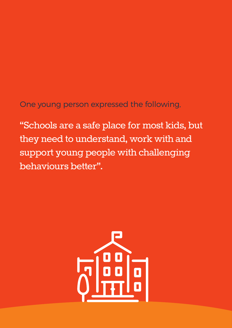# One young person expressed the following,

"Schools are a safe place for most kids, but they need to understand, work with and support young people with challenging behaviours better".

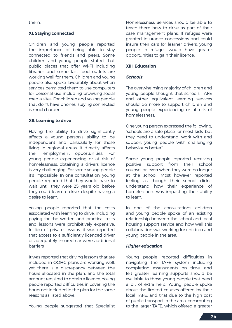them.

# **XI. Staying connected**

Children and young people reported the importance of being able to stay connected to friends and peers. Some children and young people stated that public places that offer Wi-Fi including libraries and some fast food outlets are working well for them. Children and young people also spoke favourably about when services permitted them to use computers for personal use including browsing social media sites. For children and young people that don't have phones, staying connected is much harder.

# **XII. Learning to drive**

Having the ability to drive significantly affects a young person's ability to be independent and particularly for those living in regional areas, it directly affects their employment opportunities. For young people experiencing or at risk of homelessness, obtaining a drivers licence is very challenging. For some young people it's impossible. In one consultation, young people reported that they would have to wait until they were 25 years old before they could learn to drive, despite having a desire to learn.

Young people reported that the costs associated with learning to drive, including paying for the written and practical tests and lessons were prohibitively expensive. In lieu of private lessons, it was reported that access to a sufficiently licenced driver or adequately insured car were additional barriers.

It was reported that driving lessons that are included in OOHC plans are working well, yet there is a discrepancy between the hours allocated in the plan, and the total amount required to obtain a licence. Young people reported difficulties in covering the hours not included in the plan for the same reasons as listed above.

Young people suggested that Specialist

Homelessness Services should be able to teach them how to drive as part of their case management plans. If refuges were granted insurance concessions and could insure their cars for learner drivers, young people in refuges would have greater opportunities to gain their licence.

# **XIII. Education**

# **Schools**

The overwhelming majority of children and young people thought that schools, TAFE and other equivalent learning services should do more to support children and young people experiencing or at risk of homelessness.

One young person expressed the following, "schools are a safe place for most kids, but they need to understand, work with and support young people with challenging behaviours better".

Some young people reported receiving positive support from their school counsellor, even when they were no longer at the school. Most however reported feeling as though their school didn't understand how their experience of homelessness was impacting their ability to learn.

In one of the consultations children and young people spoke of an existing relationship between the school and local housing support service and how well this collaboration was working for children and young people in the area.

# **Higher education**

Young people reported difficulties in navigating the TAFE system including completing assessments on time, and felt greater learning supports should be available to those young people that need a bit of extra help. Young people spoke about the limited courses offered by their local TAFE, and that due to the high cost of public transport in the area, commuting to the larger TAFE, which offered a greater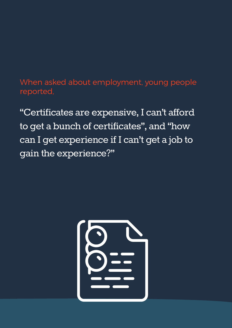# When asked about employment, young people reported,

"Certificates are expensive, I can't afford to get a bunch of certificates", and "how can I get experience if I can't get a job to gain the experience?"

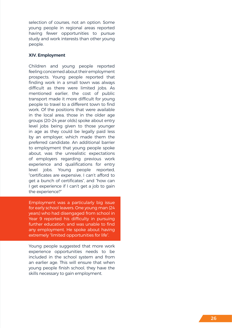selection of courses, not an option. Some young people in regional areas reported having fewer opportunities to pursue study and work interests than other young people.

# **XIV. Employment**

Children and young people reported feeling concerned about their employment prospects. Young people reported that finding work in a small town was always difficult as there were limited jobs. As mentioned earlier, the cost of public transport made it more difficult for young people to travel to a different town to find work. Of the positions that were available in the local area, those in the older age groups (20-24 year olds) spoke about entry level jobs being given to those younger in age as they could be legally paid less by an employer, which made them the preferred candidate. An additional barrier to employment that young people spoke about, was the unrealistic expectations of employers regarding previous work experience and qualifications for entry level jobs. Young people reported, "certificates are expensive, I can't afford to get a bunch of certificates", and "how can I get experience if I can't get a job to gain the experience?"

Employment was a particularly big issue for early school leavers. One young man (24 years) who had disengaged from school in Year 9 reported his difficulty in pursuing further education, and was unable to find any employment. He spoke about having extremely "limited opportunities for life".

Young people suggested that more work experience opportunities needs to be included in the school system and from an earlier age. This will ensure that when young people finish school, they have the skills necessary to gain employment.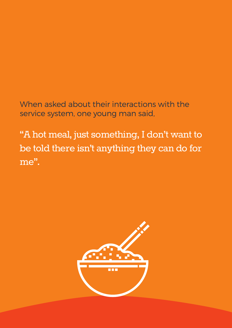# When asked about their interactions with the service system, one young man said,

"A hot meal, just something, I don't want to be told there isn't anything they can do for me".

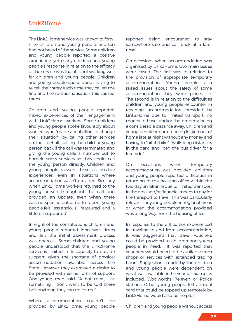# **Link2Home**

The Link2Home service was known to fortynine children and young people, and ten had not heard of the service. Some children and young people reported a positive experience, yet many children and young people's response in relation to the efficacy of the service was that it is not working well for children and young people. Children and young people spoke about having to re-tell their story each time they called the line and the re-traumatisation this caused them.

Children and young people reported mixed experiences of their engagement with Link2Home workers. Some children and young people spoke favourably about workers who "made a real effort to change their situation" by calling other services on their behalf, calling the child or young person back if the call was terminated and giving the young caller's number out to homelessness services so they could call the young person directly. Children and young people viewed these as positive experiences, even in situations where accommodation wasn't provided. Similarly when Link2Home workers returned to the young person throughout the call and provided an update, even when there was no specific outcome to report, young people felt "less anxious", "reassured" and "a little bit supported".

In eight of the consultations children and young people reported long wait times and felt the initial assessment process was onerous. Some children and young people understood that the Link2Home service is limited in its capacity to provide support, given the shortage of physical accommodation available across the State. However they expressed a desire to be provided with some form of support. One young man said, "A hot meal, just something, I don't want to be told there isn't anything they can do for me".

When accommodation couldn't be provided by Link2Home, young people reported being encouraged to stay somewhere safe and call back at a later time.

On occasions when accommodation was organised by Link2Home, two main issues were raised. The first was in relation to the provision of appropriate temporary accommodation. Young people also raised issues about the safety of some accommodation they were placed in. The second is in relation to the difficulties children and young people encounter in reaching accommodation provided by Link2Home due to limited transport, no money to travel and/or the property being a considerable distance away. Children and young people reported being kicked out of home late at night without any money and having to "hitch-hike", "walk long distances in the dark" and "beg the bus driver for a free ride".

On occasions when temporary accommodation was provided, children and young people reported difficulties in returning to the housing office within the two day timeframe due to limited transport in the area and/or financial means to pay for the transport to travel. This was particularly relevant for young people in regional areas or when the accommodation provided was a long way from the housing office.

In response to the difficulties experienced in traveling to and from accommodation, it was suggested that travel vouchers could be provided to children and young people in need. It was reported that vouchers would need to be available from shops or services with extended trading hours. Suggestions made by the children and young people were dependent on what was available in their area, examples included, Woolworths, 7eleven or Police stations. Other young people felt an opal card that could be topped up remotely by Link2Home would also be helpful.

Children and young people without access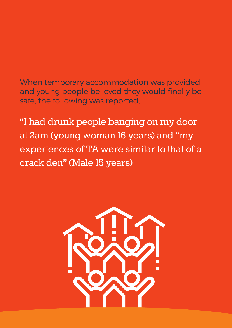When temporary accommodation was provided, and young people believed they would finally be safe, the following was reported,

"I had drunk people banging on my door at 2am (young woman 16 years) and "my experiences of TA were similar to that of a crack den" (Male 15 years)

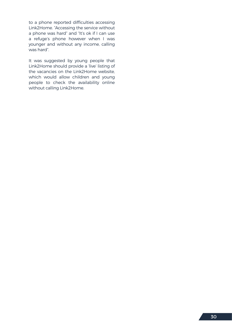to a phone reported difficulties accessing Link2Home. "Accessing the service without a phone was hard" and "It's ok if I can use a refuge's phone however when I was younger and without any income, calling was hard".

It was suggested by young people that Link2Home should provide a 'live' listing of the vacancies on the Link2Home website, which would allow children and young people to check the availability online without calling Link2Home.